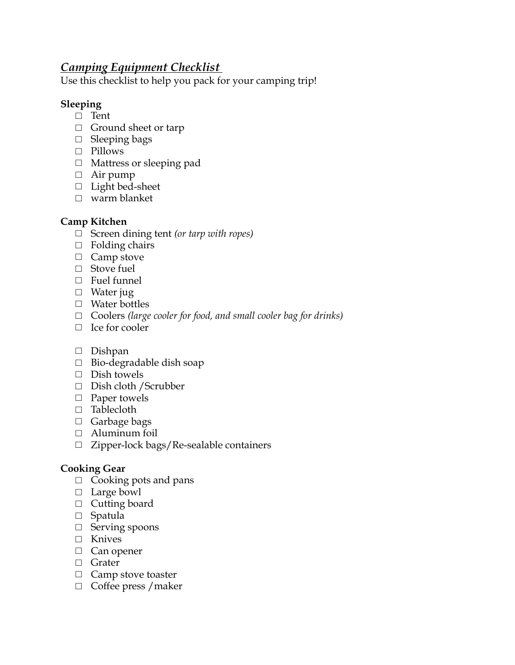# *Camping Equipment Checklist*

Use this checklist to help you pack for your camping trip!

## **Sleeping**

- □ Tent
- $\Box$  Ground sheet or tarp
- □ Sleeping bags
- □ Pillows
- *□* Mattress or sleeping pad
- *□* Air pump
- □ Light bed-sheet
- □ warm blanket

## **Camp Kitchen**

- □ Screen dining tent *(or tarp with ropes)*
- $\Box$  Folding chairs
- □ Camp stove
- □ Stove fuel
- □ Fuel funnel
- □ Water jug
- □ Water bottles
- *□* Coolers *(large cooler for food, and small cooler bag for drinks)*
- □ Ice for cooler
- □ Dishpan
- □ Bio-degradable dish soap
- □ Dish towels
- □ Dish cloth / Scrubber
- □ Paper towels
- □ Tablecloth
- □ Garbage bags
- □ Aluminum foil
- □ Zipper-lock bags/Re-sealable containers

## **Cooking Gear**

- $\Box$  Cooking pots and pans
- □ Large bowl
- □ Cutting board
- □ Spatula
- □ Serving spoons
- □ Knives
- □ Can opener
- □ Grater
- □ Camp stove toaster
- □ Coffee press / maker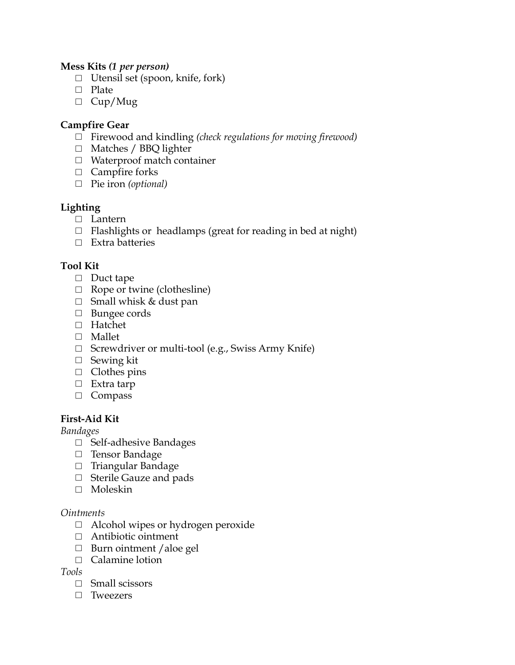#### **Mess Kits** *(1 per person)*

- □ Utensil set (spoon, knife, fork)
- □ Plate
- $\Box$  Cup/Mug

### **Campfire Gear**

- □ Firewood and kindling *(check regulations for moving firewood)*
- □ Matches / BBQ lighter
- □ Waterproof match container
- □ Campfire forks
- □ Pie iron *(optional)*

## **Lighting**

- □ Lantern
- $\Box$  Flashlights or headlamps (great for reading in bed at night)
- □ Extra batteries

### **Tool Kit**

- □ Duct tape
- $\Box$  Rope or twine (clothesline)
- $\Box$  Small whisk & dust pan
- □ Bungee cords
- □ Hatchet
- □ Mallet
- □ Screwdriver or multi-tool (e.g., Swiss Army Knife)
- □ Sewing kit
- □ Clothes pins
- □ Extra tarp
- □ Compass

### **First-Aid Kit**

*Bandages*

- □ Self-adhesive Bandages
- □ Tensor Bandage
- □ Triangular Bandage
- □ Sterile Gauze and pads
- □ Moleskin

#### *Ointments*

- □ Alcohol wipes or hydrogen peroxide
- □ Antibiotic ointment
- $\Box$  Burn ointment / aloe gel
- □ Calamine lotion

#### *Tools*

- □ Small scissors
- □ Tweezers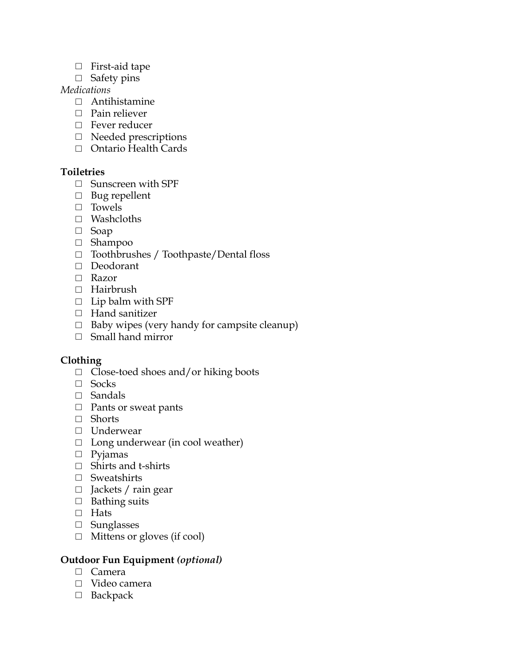- □ First-aid tape
- □ Safety pins

### *Medications*

- □ Antihistamine
- $\Box$  Pain reliever
- □ Fever reducer
- □ Needed prescriptions
- □ Ontario Health Cards

### **Toiletries**

- □ Sunscreen with SPF
- □ Bug repellent
- □ Towels
- □ Washcloths
- □ Soap
- □ Shampoo
- □ Toothbrushes / Toothpaste/Dental floss
- □ Deodorant
- □ Razor
- □ Hairbrush
- $\Box$  Lip balm with SPF
- □ Hand sanitizer
- $\Box$  Baby wipes (very handy for campsite cleanup)
- □ Small hand mirror

### **Clothing**

- □ Close-toed shoes and/or hiking boots
- □ Socks
- □ Sandals
- □ Pants or sweat pants
- □ Shorts
- □ Underwear
- □ Long underwear (in cool weather)
- □ Pyjamas
- □ Shirts and t-shirts
- □ Sweatshirts
- □ Jackets / rain gear
- □ Bathing suits
- □ Hats
- □ Sunglasses
- □ Mittens or gloves (if cool)

#### **Outdoor Fun Equipment** *(optional)*

- □ Camera
- □ Video camera
- □ Backpack